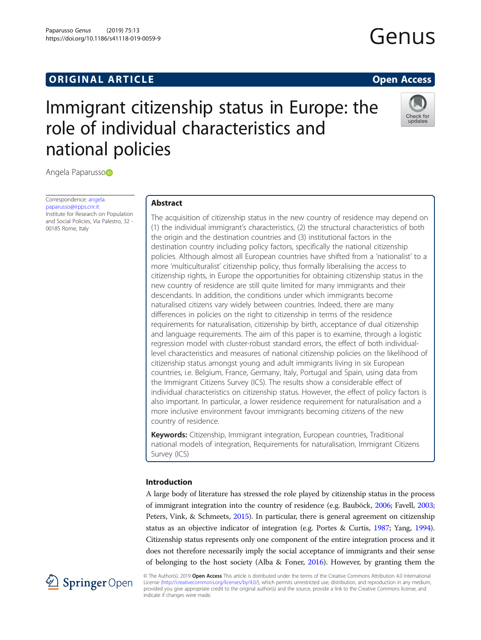https://doi.org/10.1186/s41118-019-0059-9

# Immigrant citizenship status in Europe: the role of individual characteristics and national policies



Angela Paparusso

Correspondence: [angela.](mailto:angela.paparusso@irpps.cnr.it) [paparusso@irpps.cnr.it](mailto:angela.paparusso@irpps.cnr.it) Institute for Research on Population and Social Policies, Via Palestro, 32 - 00185 Rome, Italy

# Abstract

The acquisition of citizenship status in the new country of residence may depend on (1) the individual immigrant's characteristics, (2) the structural characteristics of both the origin and the destination countries and (3) institutional factors in the destination country including policy factors, specifically the national citizenship policies. Although almost all European countries have shifted from a 'nationalist' to a more 'multiculturalist' citizenship policy, thus formally liberalising the access to citizenship rights, in Europe the opportunities for obtaining citizenship status in the new country of residence are still quite limited for many immigrants and their descendants. In addition, the conditions under which immigrants become naturalised citizens vary widely between countries. Indeed, there are many differences in policies on the right to citizenship in terms of the residence requirements for naturalisation, citizenship by birth, acceptance of dual citizenship and language requirements. The aim of this paper is to examine, through a logistic regression model with cluster-robust standard errors, the effect of both individuallevel characteristics and measures of national citizenship policies on the likelihood of citizenship status amongst young and adult immigrants living in six European countries, i.e. Belgium, France, Germany, Italy, Portugal and Spain, using data from the Immigrant Citizens Survey (ICS). The results show a considerable effect of individual characteristics on citizenship status. However, the effect of policy factors is also important. In particular, a lower residence requirement for naturalisation and a more inclusive environment favour immigrants becoming citizens of the new country of residence.

Keywords: Citizenship, Immigrant integration, European countries, Traditional national models of integration, Requirements for naturalisation, Immigrant Citizens Survey (ICS)

# Introduction

A large body of literature has stressed the role played by citizenship status in the process of immigrant integration into the country of residence (e.g. Bauböck, [2006;](#page-20-0) Favell, [2003](#page-21-0); Peters, Vink, & Schmeets, [2015](#page-21-0)). In particular, there is general agreement on citizenship status as an objective indicator of integration (e.g. Portes & Curtis, [1987](#page-21-0); Yang, [1994](#page-22-0)). Citizenship status represents only one component of the entire integration process and it does not therefore necessarily imply the social acceptance of immigrants and their sense of belonging to the host society (Alba & Foner, [2016\)](#page-20-0). However, by granting them the



© The Author(s). 2019 Open Access This article is distributed under the terms of the Creative Commons Attribution 4.0 International License [\(http://creativecommons.org/licenses/by/4.0/](http://creativecommons.org/licenses/by/4.0/)), which permits unrestricted use, distribution, and reproduction in any medium, provided you give appropriate credit to the original author(s) and the source, provide a link to the Creative Commons license, and indicate if changes were made.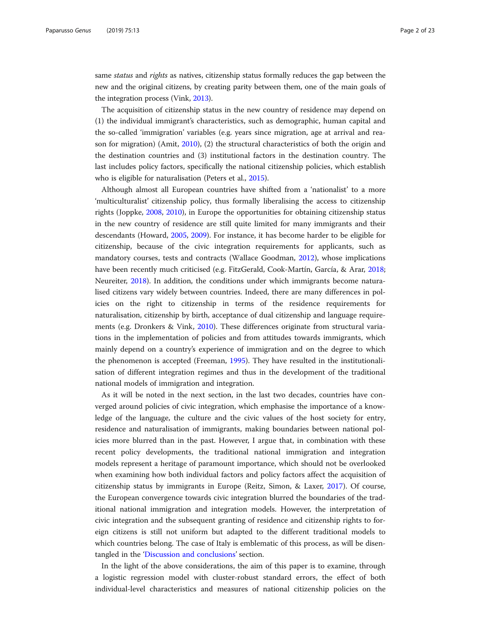same *status* and *rights* as natives, citizenship status formally reduces the gap between the new and the original citizens, by creating parity between them, one of the main goals of the integration process (Vink, [2013](#page-22-0)).

The acquisition of citizenship status in the new country of residence may depend on (1) the individual immigrant's characteristics, such as demographic, human capital and the so-called 'immigration' variables (e.g. years since migration, age at arrival and reason for migration) (Amit, [2010\)](#page-20-0), (2) the structural characteristics of both the origin and the destination countries and (3) institutional factors in the destination country. The last includes policy factors, specifically the national citizenship policies, which establish who is eligible for naturalisation (Peters et al., [2015\)](#page-21-0).

Although almost all European countries have shifted from a 'nationalist' to a more 'multiculturalist' citizenship policy, thus formally liberalising the access to citizenship rights (Joppke, [2008,](#page-21-0) [2010](#page-21-0)), in Europe the opportunities for obtaining citizenship status in the new country of residence are still quite limited for many immigrants and their descendants (Howard, [2005](#page-21-0), [2009](#page-21-0)). For instance, it has become harder to be eligible for citizenship, because of the civic integration requirements for applicants, such as mandatory courses, tests and contracts (Wallace Goodman, [2012\)](#page-22-0), whose implications have been recently much criticised (e.g. FitzGerald, Cook-Martín, García, & Arar, [2018](#page-21-0); Neureiter, [2018\)](#page-21-0). In addition, the conditions under which immigrants become naturalised citizens vary widely between countries. Indeed, there are many differences in policies on the right to citizenship in terms of the residence requirements for naturalisation, citizenship by birth, acceptance of dual citizenship and language requirements (e.g. Dronkers & Vink, [2010](#page-20-0)). These differences originate from structural variations in the implementation of policies and from attitudes towards immigrants, which mainly depend on a country's experience of immigration and on the degree to which the phenomenon is accepted (Freeman, [1995](#page-21-0)). They have resulted in the institutionalisation of different integration regimes and thus in the development of the traditional national models of immigration and integration.

As it will be noted in the next section, in the last two decades, countries have converged around policies of civic integration, which emphasise the importance of a knowledge of the language, the culture and the civic values of the host society for entry, residence and naturalisation of immigrants, making boundaries between national policies more blurred than in the past. However, I argue that, in combination with these recent policy developments, the traditional national immigration and integration models represent a heritage of paramount importance, which should not be overlooked when examining how both individual factors and policy factors affect the acquisition of citizenship status by immigrants in Europe (Reitz, Simon, & Laxer, [2017\)](#page-22-0). Of course, the European convergence towards civic integration blurred the boundaries of the traditional national immigration and integration models. However, the interpretation of civic integration and the subsequent granting of residence and citizenship rights to foreign citizens is still not uniform but adapted to the different traditional models to which countries belong. The case of Italy is emblematic of this process, as will be disentangled in the '[Discussion and conclusions](#page-17-0)' section.

In the light of the above considerations, the aim of this paper is to examine, through a logistic regression model with cluster-robust standard errors, the effect of both individual-level characteristics and measures of national citizenship policies on the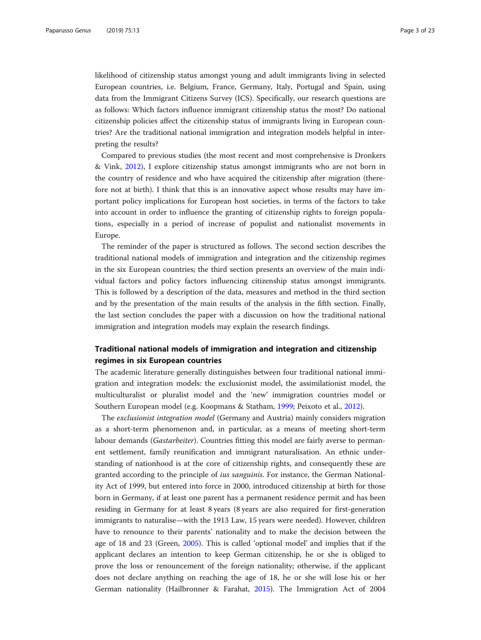likelihood of citizenship status amongst young and adult immigrants living in selected European countries, i.e. Belgium, France, Germany, Italy, Portugal and Spain, using data from the Immigrant Citizens Survey (ICS). Specifically, our research questions are as follows: Which factors influence immigrant citizenship status the most? Do national citizenship policies affect the citizenship status of immigrants living in European countries? Are the traditional national immigration and integration models helpful in interpreting the results?

Compared to previous studies (the most recent and most comprehensive is Dronkers & Vink, [2012\)](#page-21-0), I explore citizenship status amongst immigrants who are not born in the country of residence and who have acquired the citizenship after migration (therefore not at birth). I think that this is an innovative aspect whose results may have important policy implications for European host societies, in terms of the factors to take into account in order to influence the granting of citizenship rights to foreign populations, especially in a period of increase of populist and nationalist movements in Europe.

The reminder of the paper is structured as follows. The second section describes the traditional national models of immigration and integration and the citizenship regimes in the six European countries; the third section presents an overview of the main individual factors and policy factors influencing citizenship status amongst immigrants. This is followed by a description of the data, measures and method in the third section and by the presentation of the main results of the analysis in the fifth section. Finally, the last section concludes the paper with a discussion on how the traditional national immigration and integration models may explain the research findings.

# Traditional national models of immigration and integration and citizenship regimes in six European countries

The academic literature generally distinguishes between four traditional national immigration and integration models: the exclusionist model, the assimilationist model, the multiculturalist or pluralist model and the 'new' immigration countries model or Southern European model (e.g. Koopmans & Statham, [1999](#page-21-0); Peixoto et al., [2012](#page-21-0)).

The exclusionist integration model (Germany and Austria) mainly considers migration as a short-term phenomenon and, in particular, as a means of meeting short-term labour demands (Gastarbeiter). Countries fitting this model are fairly averse to permanent settlement, family reunification and immigrant naturalisation. An ethnic understanding of nationhood is at the core of citizenship rights, and consequently these are granted according to the principle of *ius sanguinis*. For instance, the German Nationality Act of 1999, but entered into force in 2000, introduced citizenship at birth for those born in Germany, if at least one parent has a permanent residence permit and has been residing in Germany for at least 8 years (8 years are also required for first-generation immigrants to naturalise—with the 1913 Law, 15 years were needed). However, children have to renounce to their parents' nationality and to make the decision between the age of 18 and 23 (Green, [2005](#page-21-0)). This is called 'optional model' and implies that if the applicant declares an intention to keep German citizenship, he or she is obliged to prove the loss or renouncement of the foreign nationality; otherwise, if the applicant does not declare anything on reaching the age of 18, he or she will lose his or her German nationality (Hailbronner & Farahat, [2015\)](#page-21-0). The Immigration Act of 2004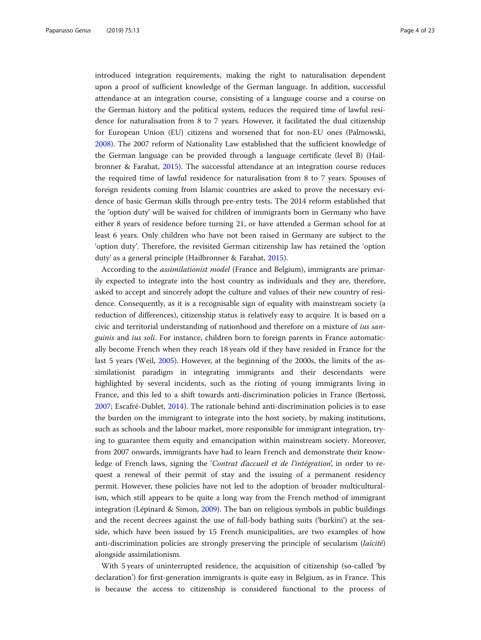introduced integration requirements, making the right to naturalisation dependent upon a proof of sufficient knowledge of the German language. In addition, successful attendance at an integration course, consisting of a language course and a course on the German history and the political system, reduces the required time of lawful residence for naturalisation from 8 to 7 years. However, it facilitated the dual citizenship for European Union (EU) citizens and worsened that for non-EU ones (Palmowski, [2008](#page-21-0)). The 2007 reform of Nationality Law established that the sufficient knowledge of the German language can be provided through a language certificate (level B) (Hailbronner & Farahat, [2015](#page-21-0)). The successful attendance at an integration course reduces the required time of lawful residence for naturalisation from 8 to 7 years. Spouses of foreign residents coming from Islamic countries are asked to prove the necessary evidence of basic German skills through pre-entry tests. The 2014 reform established that the 'option duty' will be waived for children of immigrants born in Germany who have either 8 years of residence before turning 21, or have attended a German school for at least 6 years. Only children who have not been raised in Germany are subject to the 'option duty'. Therefore, the revisited German citizenship law has retained the 'option duty' as a general principle (Hailbronner & Farahat, [2015](#page-21-0)).

According to the assimilationist model (France and Belgium), immigrants are primarily expected to integrate into the host country as individuals and they are, therefore, asked to accept and sincerely adopt the culture and values of their new country of residence. Consequently, as it is a recognisable sign of equality with mainstream society (a reduction of differences), citizenship status is relatively easy to acquire. It is based on a civic and territorial understanding of nationhood and therefore on a mixture of ius sanguinis and ius soli. For instance, children born to foreign parents in France automatically become French when they reach 18 years old if they have resided in France for the last 5 years (Weil, [2005\)](#page-22-0). However, at the beginning of the 2000s, the limits of the assimilationist paradigm in integrating immigrants and their descendants were highlighted by several incidents, such as the rioting of young immigrants living in France, and this led to a shift towards anti-discrimination policies in France (Bertossi, [2007](#page-20-0); Escafré-Dublet, [2014\)](#page-21-0). The rationale behind anti-discrimination policies is to ease the burden on the immigrant to integrate into the host society, by making institutions, such as schools and the labour market, more responsible for immigrant integration, trying to guarantee them equity and emancipation within mainstream society. Moreover, from 2007 onwards, immigrants have had to learn French and demonstrate their knowledge of French laws, signing the 'Contrat d'accueil et de l'intégration', in order to request a renewal of their permit of stay and the issuing of a permanent residency permit. However, these policies have not led to the adoption of broader multiculturalism, which still appears to be quite a long way from the French method of immigrant integration (Lépinard & Simon, [2009\)](#page-21-0). The ban on religious symbols in public buildings and the recent decrees against the use of full-body bathing suits ('burkini') at the seaside, which have been issued by 15 French municipalities, are two examples of how anti-discrimination policies are strongly preserving the principle of secularism  $(laïcité)$ alongside assimilationism.

With 5 years of uninterrupted residence, the acquisition of citizenship (so-called 'by declaration') for first-generation immigrants is quite easy in Belgium, as in France. This is because the access to citizenship is considered functional to the process of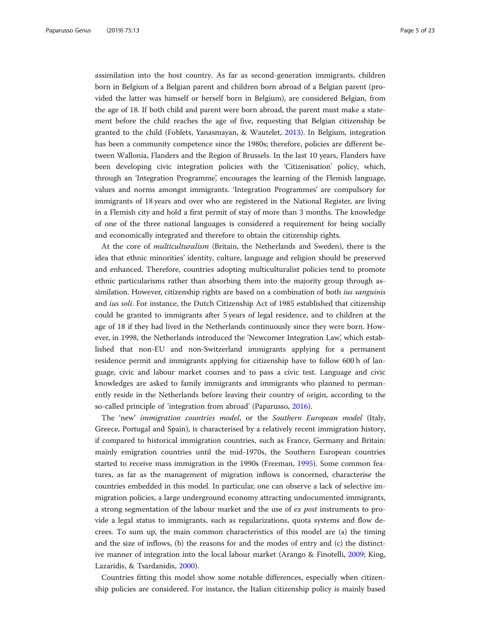assimilation into the host country. As far as second-generation immigrants, children born in Belgium of a Belgian parent and children born abroad of a Belgian parent (provided the latter was himself or herself born in Belgium), are considered Belgian, from the age of 18. If both child and parent were born abroad, the parent must make a statement before the child reaches the age of five, requesting that Belgian citizenship be granted to the child (Foblets, Yanasmayan, & Wautelet, [2013](#page-21-0)). In Belgium, integration has been a community competence since the 1980s; therefore, policies are different between Wallonia, Flanders and the Region of Brussels. In the last 10 years, Flanders have been developing civic integration policies with the 'Citizenisation' policy, which, through an 'Integration Programme', encourages the learning of the Flemish language, values and norms amongst immigrants. 'Integration Programmes' are compulsory for immigrants of 18 years and over who are registered in the National Register, are living in a Flemish city and hold a first permit of stay of more than 3 months. The knowledge of one of the three national languages is considered a requirement for being socially and economically integrated and therefore to obtain the citizenship rights.

At the core of multiculturalism (Britain, the Netherlands and Sweden), there is the idea that ethnic minorities' identity, culture, language and religion should be preserved and enhanced. Therefore, countries adopting multiculturalist policies tend to promote ethnic particularisms rather than absorbing them into the majority group through assimilation. However, citizenship rights are based on a combination of both *ius sanguinis* and ius soli. For instance, the Dutch Citizenship Act of 1985 established that citizenship could be granted to immigrants after 5 years of legal residence, and to children at the age of 18 if they had lived in the Netherlands continuously since they were born. However, in 1998, the Netherlands introduced the 'Newcomer Integration Law', which established that non-EU and non-Switzerland immigrants applying for a permanent residence permit and immigrants applying for citizenship have to follow 600 h of language, civic and labour market courses and to pass a civic test. Language and civic knowledges are asked to family immigrants and immigrants who planned to permanently reside in the Netherlands before leaving their country of origin, according to the so-called principle of 'integration from abroad' (Paparusso, [2016](#page-21-0)).

The 'new' immigration countries model, or the Southern European model (Italy, Greece, Portugal and Spain), is characterised by a relatively recent immigration history, if compared to historical immigration countries, such as France, Germany and Britain: mainly emigration countries until the mid-1970s, the Southern European countries started to receive mass immigration in the 1990s (Freeman, [1995\)](#page-21-0). Some common features, as far as the management of migration inflows is concerned, characterise the countries embedded in this model. In particular, one can observe a lack of selective immigration policies, a large underground economy attracting undocumented immigrants, a strong segmentation of the labour market and the use of ex post instruments to provide a legal status to immigrants, such as regularizations, quota systems and flow decrees. To sum up, the main common characteristics of this model are (a) the timing and the size of inflows, (b) the reasons for and the modes of entry and (c) the distinctive manner of integration into the local labour market (Arango & Finotelli, [2009;](#page-20-0) King, Lazaridis, & Tsardanidis, [2000](#page-21-0)).

Countries fitting this model show some notable differences, especially when citizenship policies are considered. For instance, the Italian citizenship policy is mainly based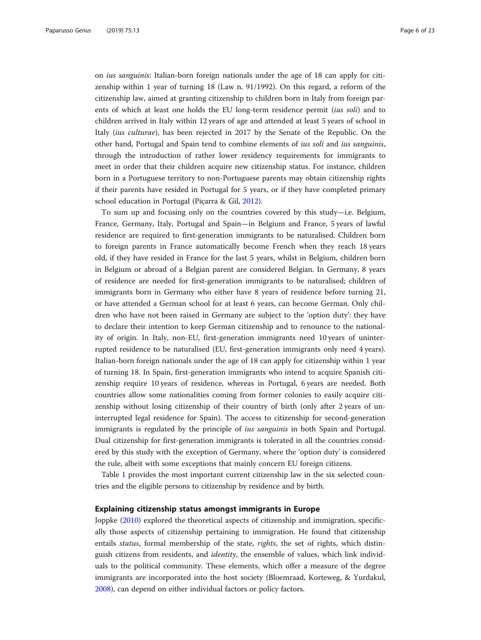on ius sanguinis: Italian-born foreign nationals under the age of 18 can apply for citizenship within 1 year of turning 18 (Law n. 91/1992). On this regard, a reform of the citizenship law, aimed at granting citizenship to children born in Italy from foreign parents of which at least one holds the EU long-term residence permit *(ius soli)* and to children arrived in Italy within 12 years of age and attended at least 5 years of school in Italy (ius culturae), has been rejected in 2017 by the Senate of the Republic. On the other hand, Portugal and Spain tend to combine elements of ius soli and ius sanguinis, through the introduction of rather lower residency requirements for immigrants to meet in order that their children acquire new citizenship status. For instance, children born in a Portuguese territory to non-Portuguese parents may obtain citizenship rights if their parents have resided in Portugal for 5 years, or if they have completed primary school education in Portugal (Piçarra & Gil, [2012](#page-21-0)).

To sum up and focusing only on the countries covered by this study—i.e. Belgium, France, Germany, Italy, Portugal and Spain—in Belgium and France, 5 years of lawful residence are required to first-generation immigrants to be naturalised. Children born to foreign parents in France automatically become French when they reach 18 years old, if they have resided in France for the last 5 years, whilst in Belgium, children born in Belgium or abroad of a Belgian parent are considered Belgian. In Germany, 8 years of residence are needed for first-generation immigrants to be naturalised; children of immigrants born in Germany who either have 8 years of residence before turning 21, or have attended a German school for at least 6 years, can become German. Only children who have not been raised in Germany are subject to the 'option duty': they have to declare their intention to keep German citizenship and to renounce to the nationality of origin. In Italy, non-EU, first-generation immigrants need 10 years of uninterrupted residence to be naturalised (EU, first-generation immigrants only need 4 years). Italian-born foreign nationals under the age of 18 can apply for citizenship within 1 year of turning 18. In Spain, first-generation immigrants who intend to acquire Spanish citizenship require 10 years of residence, whereas in Portugal, 6 years are needed. Both countries allow some nationalities coming from former colonies to easily acquire citizenship without losing citizenship of their country of birth (only after 2 years of uninterrupted legal residence for Spain). The access to citizenship for second-generation immigrants is regulated by the principle of *ius sanguinis* in both Spain and Portugal. Dual citizenship for first-generation immigrants is tolerated in all the countries considered by this study with the exception of Germany, where the 'option duty' is considered the rule, albeit with some exceptions that mainly concern EU foreign citizens.

Table [1](#page-6-0) provides the most important current citizenship law in the six selected countries and the eligible persons to citizenship by residence and by birth.

# Explaining citizenship status amongst immigrants in Europe

Joppke ([2010\)](#page-21-0) explored the theoretical aspects of citizenship and immigration, specifically those aspects of citizenship pertaining to immigration. He found that citizenship entails status, formal membership of the state, rights, the set of rights, which distinguish citizens from residents, and identity, the ensemble of values, which link individuals to the political community. These elements, which offer a measure of the degree immigrants are incorporated into the host society (Bloemraad, Korteweg, & Yurdakul, [2008](#page-20-0)), can depend on either individual factors or policy factors.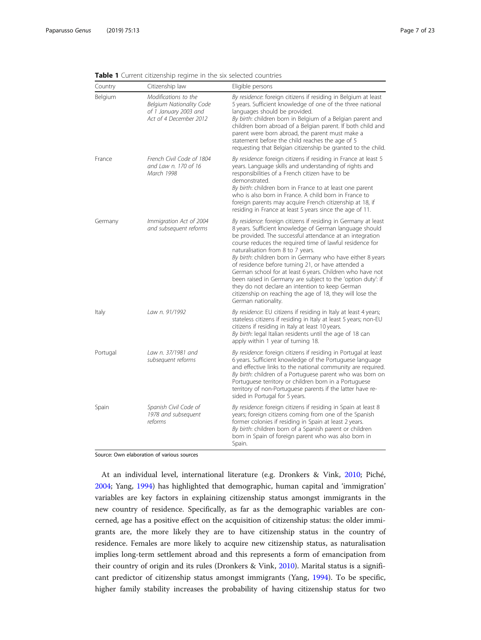| Country  | Citizenship law                                                                                     | Eligible persons                                                                                                                                                                                                                                                                                                                                                                                                                                                                                                                                                                                                                                                              |
|----------|-----------------------------------------------------------------------------------------------------|-------------------------------------------------------------------------------------------------------------------------------------------------------------------------------------------------------------------------------------------------------------------------------------------------------------------------------------------------------------------------------------------------------------------------------------------------------------------------------------------------------------------------------------------------------------------------------------------------------------------------------------------------------------------------------|
| Belgium  | Modifications to the<br>Belgium Nationality Code<br>of 1 January 2003 and<br>Act of 4 December 2012 | By residence: foreign citizens if residing in Belgium at least<br>5 years. Sufficient knowledge of one of the three national<br>languages should be provided.<br>By birth: children born in Belgium of a Belgian parent and<br>children born abroad of a Belgian parent. If both child and<br>parent were born abroad, the parent must make a<br>statement before the child reaches the age of 5<br>requesting that Belgian citizenship be granted to the child.                                                                                                                                                                                                              |
| France   | French Civil Code of 1804<br>and Law n. 170 of 16<br>March 1998                                     | By residence: foreign citizens if residing in France at least 5<br>years. Language skills and understanding of rights and<br>responsibilities of a French citizen have to be<br>demonstrated.<br>By birth: children born in France to at least one parent<br>who is also born in France. A child born in France to<br>foreign parents may acquire French citizenship at 18, if<br>residing in France at least 5 years since the age of 11.                                                                                                                                                                                                                                    |
| Germany  | Immigration Act of 2004<br>and subsequent reforms                                                   | By residence: foreign citizens if residing in Germany at least<br>8 years. Sufficient knowledge of German language should<br>be provided. The successful attendance at an integration<br>course reduces the required time of lawful residence for<br>naturalisation from 8 to 7 years.<br>By birth: children born in Germany who have either 8 years<br>of residence before turning 21, or have attended a<br>German school for at least 6 years. Children who have not<br>been raised in Germany are subject to the 'option duty': if<br>they do not declare an intention to keep German<br>citizenship on reaching the age of 18, they will lose the<br>German nationality. |
| Italy    | Law n. 91/1992                                                                                      | By residence: EU citizens if residing in Italy at least 4 years;<br>stateless citizens if residing in Italy at least 5 years; non-EU<br>citizens if residing in Italy at least 10 years.<br>By birth: legal Italian residents until the age of 18 can<br>apply within 1 year of turning 18.                                                                                                                                                                                                                                                                                                                                                                                   |
| Portugal | Law n. 37/1981 and<br>subsequent reforms                                                            | By residence: foreign citizens if residing in Portugal at least<br>6 years. Sufficient knowledge of the Portuguese language<br>and effective links to the national community are required.<br>By birth: children of a Portuguese parent who was born on<br>Portuguese territory or children born in a Portuguese<br>territory of non-Portuguese parents if the latter have re-<br>sided in Portugal for 5 years.                                                                                                                                                                                                                                                              |
| Spain    | Spanish Civil Code of<br>1978 and subsequent<br>reforms                                             | By residence: foreign citizens if residing in Spain at least 8<br>years; foreign citizens coming from one of the Spanish<br>former colonies if residing in Spain at least 2 years.<br>By birth: children born of a Spanish parent or children<br>born in Spain of foreign parent who was also born in<br>Spain.                                                                                                                                                                                                                                                                                                                                                               |

<span id="page-6-0"></span>Table 1 Current citizenship regime in the six selected countries

Source: Own elaboration of various sources

At an individual level, international literature (e.g. Dronkers & Vink, [2010](#page-20-0); Piché, [2004](#page-21-0); Yang, [1994\)](#page-22-0) has highlighted that demographic, human capital and 'immigration' variables are key factors in explaining citizenship status amongst immigrants in the new country of residence. Specifically, as far as the demographic variables are concerned, age has a positive effect on the acquisition of citizenship status: the older immigrants are, the more likely they are to have citizenship status in the country of residence. Females are more likely to acquire new citizenship status, as naturalisation implies long-term settlement abroad and this represents a form of emancipation from their country of origin and its rules (Dronkers & Vink, [2010\)](#page-20-0). Marital status is a significant predictor of citizenship status amongst immigrants (Yang, [1994\)](#page-22-0). To be specific, higher family stability increases the probability of having citizenship status for two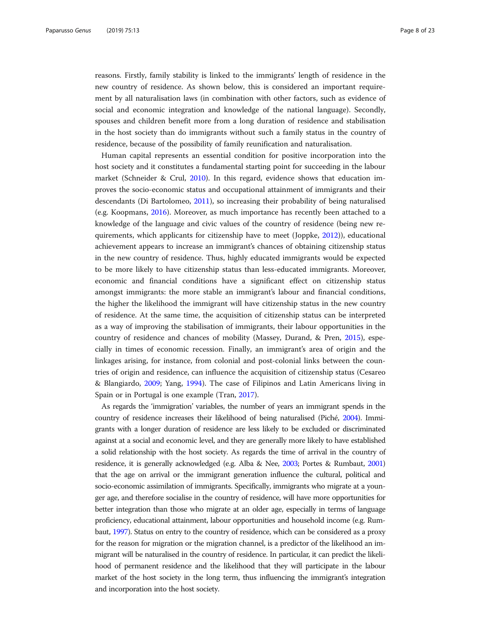reasons. Firstly, family stability is linked to the immigrants' length of residence in the new country of residence. As shown below, this is considered an important requirement by all naturalisation laws (in combination with other factors, such as evidence of social and economic integration and knowledge of the national language). Secondly, spouses and children benefit more from a long duration of residence and stabilisation in the host society than do immigrants without such a family status in the country of residence, because of the possibility of family reunification and naturalisation.

Human capital represents an essential condition for positive incorporation into the host society and it constitutes a fundamental starting point for succeeding in the labour market (Schneider & Crul, [2010\)](#page-22-0). In this regard, evidence shows that education improves the socio-economic status and occupational attainment of immigrants and their descendants (Di Bartolomeo, [2011\)](#page-20-0), so increasing their probability of being naturalised (e.g. Koopmans, [2016\)](#page-21-0). Moreover, as much importance has recently been attached to a knowledge of the language and civic values of the country of residence (being new requirements, which applicants for citizenship have to meet (Joppke, [2012\)](#page-21-0)), educational achievement appears to increase an immigrant's chances of obtaining citizenship status in the new country of residence. Thus, highly educated immigrants would be expected to be more likely to have citizenship status than less-educated immigrants. Moreover, economic and financial conditions have a significant effect on citizenship status amongst immigrants: the more stable an immigrant's labour and financial conditions, the higher the likelihood the immigrant will have citizenship status in the new country of residence. At the same time, the acquisition of citizenship status can be interpreted as a way of improving the stabilisation of immigrants, their labour opportunities in the country of residence and chances of mobility (Massey, Durand, & Pren, [2015\)](#page-21-0), especially in times of economic recession. Finally, an immigrant's area of origin and the linkages arising, for instance, from colonial and post-colonial links between the countries of origin and residence, can influence the acquisition of citizenship status (Cesareo & Blangiardo, [2009](#page-20-0); Yang, [1994](#page-22-0)). The case of Filipinos and Latin Americans living in Spain or in Portugal is one example (Tran, [2017](#page-22-0)).

As regards the 'immigration' variables, the number of years an immigrant spends in the country of residence increases their likelihood of being naturalised (Piché, [2004](#page-21-0)). Immigrants with a longer duration of residence are less likely to be excluded or discriminated against at a social and economic level, and they are generally more likely to have established a solid relationship with the host society. As regards the time of arrival in the country of residence, it is generally acknowledged (e.g. Alba & Nee, [2003;](#page-20-0) Portes & Rumbaut, [2001](#page-22-0)) that the age on arrival or the immigrant generation influence the cultural, political and socio-economic assimilation of immigrants. Specifically, immigrants who migrate at a younger age, and therefore socialise in the country of residence, will have more opportunities for better integration than those who migrate at an older age, especially in terms of language proficiency, educational attainment, labour opportunities and household income (e.g. Rumbaut, [1997\)](#page-22-0). Status on entry to the country of residence, which can be considered as a proxy for the reason for migration or the migration channel, is a predictor of the likelihood an immigrant will be naturalised in the country of residence. In particular, it can predict the likelihood of permanent residence and the likelihood that they will participate in the labour market of the host society in the long term, thus influencing the immigrant's integration and incorporation into the host society.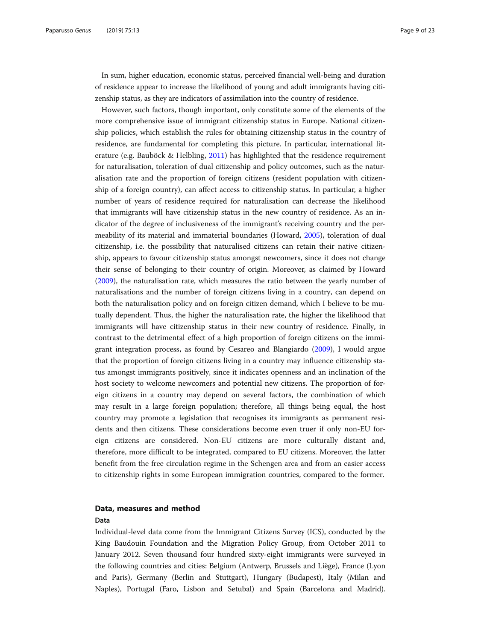In sum, higher education, economic status, perceived financial well-being and duration of residence appear to increase the likelihood of young and adult immigrants having citizenship status, as they are indicators of assimilation into the country of residence.

However, such factors, though important, only constitute some of the elements of the more comprehensive issue of immigrant citizenship status in Europe. National citizenship policies, which establish the rules for obtaining citizenship status in the country of residence, are fundamental for completing this picture. In particular, international literature (e.g. Bauböck & Helbling, [2011](#page-20-0)) has highlighted that the residence requirement for naturalisation, toleration of dual citizenship and policy outcomes, such as the naturalisation rate and the proportion of foreign citizens (resident population with citizenship of a foreign country), can affect access to citizenship status. In particular, a higher number of years of residence required for naturalisation can decrease the likelihood that immigrants will have citizenship status in the new country of residence. As an indicator of the degree of inclusiveness of the immigrant's receiving country and the permeability of its material and immaterial boundaries (Howard, [2005\)](#page-21-0), toleration of dual citizenship, i.e. the possibility that naturalised citizens can retain their native citizenship, appears to favour citizenship status amongst newcomers, since it does not change their sense of belonging to their country of origin. Moreover, as claimed by Howard ([2009](#page-21-0)), the naturalisation rate, which measures the ratio between the yearly number of naturalisations and the number of foreign citizens living in a country, can depend on both the naturalisation policy and on foreign citizen demand, which I believe to be mutually dependent. Thus, the higher the naturalisation rate, the higher the likelihood that immigrants will have citizenship status in their new country of residence. Finally, in contrast to the detrimental effect of a high proportion of foreign citizens on the immigrant integration process, as found by Cesareo and Blangiardo ([2009](#page-20-0)), I would argue that the proportion of foreign citizens living in a country may influence citizenship status amongst immigrants positively, since it indicates openness and an inclination of the host society to welcome newcomers and potential new citizens. The proportion of foreign citizens in a country may depend on several factors, the combination of which may result in a large foreign population; therefore, all things being equal, the host country may promote a legislation that recognises its immigrants as permanent residents and then citizens. These considerations become even truer if only non-EU foreign citizens are considered. Non-EU citizens are more culturally distant and, therefore, more difficult to be integrated, compared to EU citizens. Moreover, the latter benefit from the free circulation regime in the Schengen area and from an easier access to citizenship rights in some European immigration countries, compared to the former.

# Data, measures and method

# Data

Individual-level data come from the Immigrant Citizens Survey (ICS), conducted by the King Baudouin Foundation and the Migration Policy Group, from October 2011 to January 2012. Seven thousand four hundred sixty-eight immigrants were surveyed in the following countries and cities: Belgium (Antwerp, Brussels and Liège), France (Lyon and Paris), Germany (Berlin and Stuttgart), Hungary (Budapest), Italy (Milan and Naples), Portugal (Faro, Lisbon and Setubal) and Spain (Barcelona and Madrid).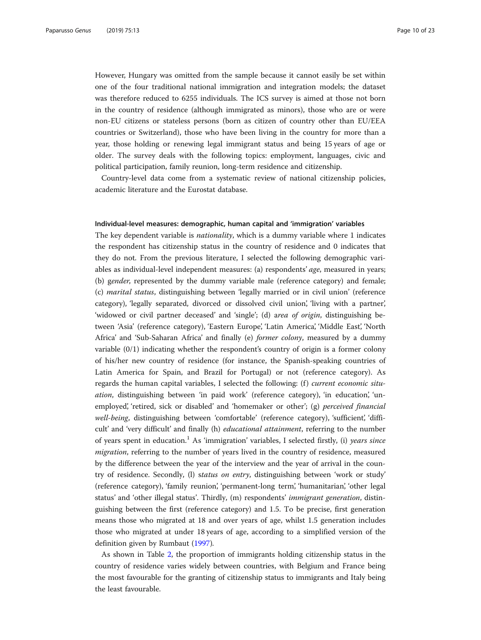However, Hungary was omitted from the sample because it cannot easily be set within one of the four traditional national immigration and integration models; the dataset was therefore reduced to 6255 individuals. The ICS survey is aimed at those not born in the country of residence (although immigrated as minors), those who are or were non-EU citizens or stateless persons (born as citizen of country other than EU/EEA countries or Switzerland), those who have been living in the country for more than a year, those holding or renewing legal immigrant status and being 15 years of age or older. The survey deals with the following topics: employment, languages, civic and political participation, family reunion, long-term residence and citizenship.

Country-level data come from a systematic review of national citizenship policies, academic literature and the Eurostat database.

# Individual-level measures: demographic, human capital and 'immigration' variables

The key dependent variable is *nationality*, which is a dummy variable where 1 indicates the respondent has citizenship status in the country of residence and 0 indicates that they do not. From the previous literature, I selected the following demographic variables as individual-level independent measures: (a) respondents' age, measured in years; (b) gender, represented by the dummy variable male (reference category) and female; (c) marital status, distinguishing between 'legally married or in civil union' (reference category), 'legally separated, divorced or dissolved civil union', 'living with a partner', 'widowed or civil partner deceased' and 'single'; (d) area of origin, distinguishing between 'Asia' (reference category), 'Eastern Europe', 'Latin America', 'Middle East', 'North Africa' and 'Sub-Saharan Africa' and finally (e) former colony, measured by a dummy variable (0/1) indicating whether the respondent's country of origin is a former colony of his/her new country of residence (for instance, the Spanish-speaking countries of Latin America for Spain, and Brazil for Portugal) or not (reference category). As regards the human capital variables, I selected the following: (f) *current economic situ*ation, distinguishing between 'in paid work' (reference category), 'in education', 'unemployed', 'retired, sick or disabled' and 'homemaker or other'; (g) *perceived financial* well-being, distinguishing between 'comfortable' (reference category), 'sufficient', 'difficult' and 'very difficult' and finally (h) educational attainment, referring to the number of years spent in education.<sup>1</sup> As 'immigration' variables, I selected firstly, (i) years since migration, referring to the number of years lived in the country of residence, measured by the difference between the year of the interview and the year of arrival in the country of residence. Secondly, (l) status on entry, distinguishing between 'work or study' (reference category), 'family reunion', 'permanent-long term', 'humanitarian', 'other legal status' and 'other illegal status'. Thirdly, (m) respondents' immigrant generation, distinguishing between the first (reference category) and 1.5. To be precise, first generation means those who migrated at 18 and over years of age, whilst 1.5 generation includes those who migrated at under 18 years of age, according to a simplified version of the definition given by Rumbaut [\(1997](#page-22-0)).

As shown in Table [2](#page-10-0), the proportion of immigrants holding citizenship status in the country of residence varies widely between countries, with Belgium and France being the most favourable for the granting of citizenship status to immigrants and Italy being the least favourable.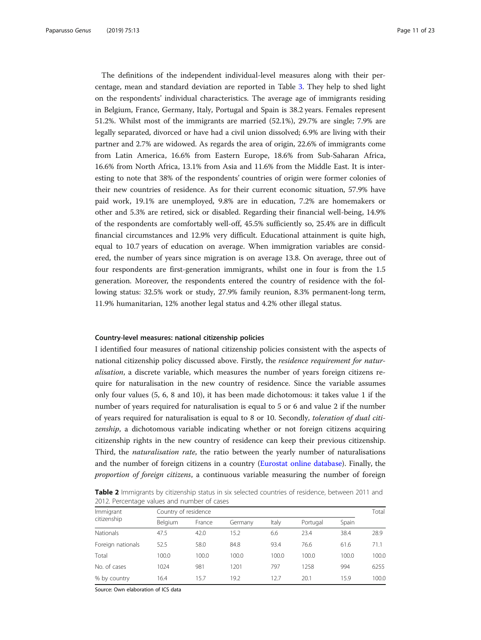<span id="page-10-0"></span>The definitions of the independent individual-level measures along with their percentage, mean and standard deviation are reported in Table [3.](#page-11-0) They help to shed light on the respondents' individual characteristics. The average age of immigrants residing in Belgium, France, Germany, Italy, Portugal and Spain is 38.2 years. Females represent 51.2%. Whilst most of the immigrants are married (52.1%), 29.7% are single; 7.9% are legally separated, divorced or have had a civil union dissolved; 6.9% are living with their partner and 2.7% are widowed. As regards the area of origin, 22.6% of immigrants come from Latin America, 16.6% from Eastern Europe, 18.6% from Sub-Saharan Africa, 16.6% from North Africa, 13.1% from Asia and 11.6% from the Middle East. It is interesting to note that 38% of the respondents' countries of origin were former colonies of their new countries of residence. As for their current economic situation, 57.9% have paid work, 19.1% are unemployed, 9.8% are in education, 7.2% are homemakers or other and 5.3% are retired, sick or disabled. Regarding their financial well-being, 14.9% of the respondents are comfortably well-off, 45.5% sufficiently so, 25.4% are in difficult financial circumstances and 12.9% very difficult. Educational attainment is quite high, equal to 10.7 years of education on average. When immigration variables are considered, the number of years since migration is on average 13.8. On average, three out of four respondents are first-generation immigrants, whilst one in four is from the 1.5 generation. Moreover, the respondents entered the country of residence with the following status: 32.5% work or study, 27.9% family reunion, 8.3% permanent-long term, 11.9% humanitarian, 12% another legal status and 4.2% other illegal status.

### Country-level measures: national citizenship policies

I identified four measures of national citizenship policies consistent with the aspects of national citizenship policy discussed above. Firstly, the residence requirement for naturalisation, a discrete variable, which measures the number of years foreign citizens require for naturalisation in the new country of residence. Since the variable assumes only four values (5, 6, 8 and 10), it has been made dichotomous: it takes value 1 if the number of years required for naturalisation is equal to 5 or 6 and value 2 if the number of years required for naturalisation is equal to 8 or 10. Secondly, toleration of dual citizenship, a dichotomous variable indicating whether or not foreign citizens acquiring citizenship rights in the new country of residence can keep their previous citizenship. Third, the naturalisation rate, the ratio between the yearly number of naturalisations and the number of foreign citizens in a country [\(Eurostat online database\)](#page-21-0). Finally, the proportion of foreign citizens, a continuous variable measuring the number of foreign

Table 2 Immigrants by citizenship status in six selected countries of residence, between 2011 and 2012. Percentage values and number of cases

| Immigrant         | Country of residence |        |         |       |          |       |       |
|-------------------|----------------------|--------|---------|-------|----------|-------|-------|
| citizenship       | Belgium              | France | Germany | Italy | Portugal | Spain |       |
| <b>Nationals</b>  | 47.5                 | 42.0   | 15.2    | 6.6   | 23.4     | 38.4  | 28.9  |
| Foreign nationals | 52.5                 | 58.0   | 84.8    | 93.4  | 76.6     | 61.6  | 71.1  |
| Total             | 100.0                | 100.0  | 100.0   | 100.0 | 100.0    | 100.0 | 100.0 |
| No. of cases      | 1024                 | 981    | 1201    | 797   | 1258     | 994   | 6255  |
| % by country      | 16.4                 | 15.7   | 19.2    | 12.7  | 20.1     | 15.9  | 100.0 |

Source: Own elaboration of ICS data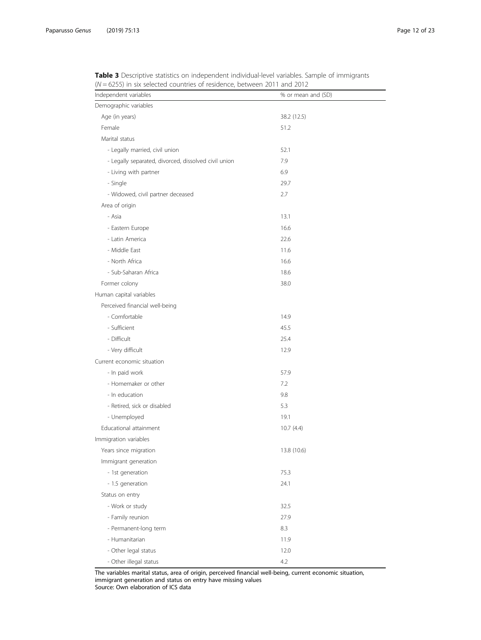| Independent variables                                | % or mean and (SD) |
|------------------------------------------------------|--------------------|
| Demographic variables                                |                    |
| Age (in years)                                       | 38.2 (12.5)        |
| Female                                               | 51.2               |
| Marital status                                       |                    |
| - Legally married, civil union                       | 52.1               |
| - Legally separated, divorced, dissolved civil union | 7.9                |
| - Living with partner                                | 6.9                |
| - Single                                             | 29.7               |
| - Widowed, civil partner deceased                    | 2.7                |
| Area of origin                                       |                    |
| - Asia                                               | 13.1               |
| - Eastern Europe                                     | 16.6               |
| - Latin America                                      | 22.6               |
| - Middle East                                        | 11.6               |
| - North Africa                                       | 16.6               |
| - Sub-Saharan Africa                                 | 18.6               |
| Former colony                                        | 38.0               |
| Human capital variables                              |                    |
| Perceived financial well-being                       |                    |
| - Comfortable                                        | 14.9               |
| - Sufficient                                         | 45.5               |
| - Difficult                                          | 25.4               |
| - Very difficult                                     | 12.9               |
| Current economic situation                           |                    |
| - In paid work                                       | 57.9               |
| - Homemaker or other                                 | 7.2                |
| - In education                                       | 9.8                |
| - Retired, sick or disabled                          | 5.3                |
| - Unemployed                                         | 19.1               |
| Educational attainment                               | 10.7(4.4)          |
| Immigration variables                                |                    |
| Years since migration                                | 13.8 (10.6)        |
| Immigrant generation                                 |                    |
| - 1st generation                                     | 75.3               |
| - 1.5 generation                                     | 24.1               |
| Status on entry                                      |                    |
| - Work or study                                      | 32.5               |
| - Family reunion                                     | 27.9               |
| - Permanent-long term                                | 8.3                |
| - Humanitarian                                       | 11.9               |
| - Other legal status                                 | 12.0               |
| - Other illegal status                               | 4.2                |

<span id="page-11-0"></span>Table 3 Descriptive statistics on independent individual-level variables. Sample of immigrants  $(N = 6255)$  in six selected countries of residence, between 2011 and 2012

The variables marital status, area of origin, perceived financial well-being, current economic situation, immigrant generation and status on entry have missing values Source: Own elaboration of ICS data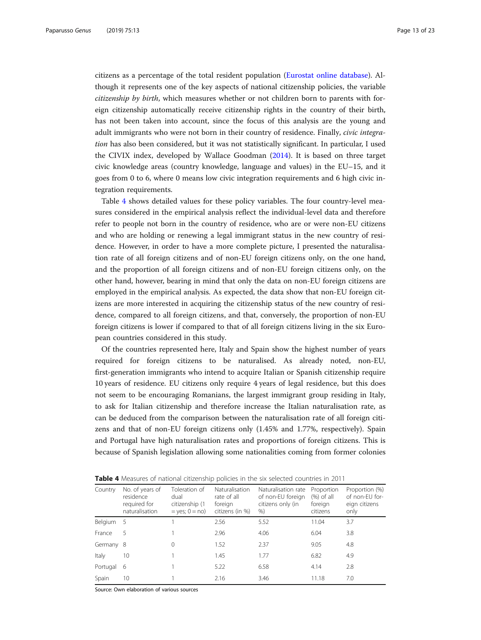citizens as a percentage of the total resident population ([Eurostat online database\)](#page-21-0). Although it represents one of the key aspects of national citizenship policies, the variable citizenship by birth, which measures whether or not children born to parents with foreign citizenship automatically receive citizenship rights in the country of their birth, has not been taken into account, since the focus of this analysis are the young and adult immigrants who were not born in their country of residence. Finally, *civic integra*tion has also been considered, but it was not statistically significant. In particular, I used the CIVIX index, developed by Wallace Goodman [\(2014](#page-22-0)). It is based on three target civic knowledge areas (country knowledge, language and values) in the EU–15, and it goes from 0 to 6, where 0 means low civic integration requirements and 6 high civic integration requirements.

Table 4 shows detailed values for these policy variables. The four country-level measures considered in the empirical analysis reflect the individual-level data and therefore refer to people not born in the country of residence, who are or were non-EU citizens and who are holding or renewing a legal immigrant status in the new country of residence. However, in order to have a more complete picture, I presented the naturalisation rate of all foreign citizens and of non-EU foreign citizens only, on the one hand, and the proportion of all foreign citizens and of non-EU foreign citizens only, on the other hand, however, bearing in mind that only the data on non-EU foreign citizens are employed in the empirical analysis. As expected, the data show that non-EU foreign citizens are more interested in acquiring the citizenship status of the new country of residence, compared to all foreign citizens, and that, conversely, the proportion of non-EU foreign citizens is lower if compared to that of all foreign citizens living in the six European countries considered in this study.

Of the countries represented here, Italy and Spain show the highest number of years required for foreign citizens to be naturalised. As already noted, non-EU, first-generation immigrants who intend to acquire Italian or Spanish citizenship require 10 years of residence. EU citizens only require 4 years of legal residence, but this does not seem to be encouraging Romanians, the largest immigrant group residing in Italy, to ask for Italian citizenship and therefore increase the Italian naturalisation rate, as can be deduced from the comparison between the naturalisation rate of all foreign citizens and that of non-EU foreign citizens only (1.45% and 1.77%, respectively). Spain and Portugal have high naturalisation rates and proportions of foreign citizens. This is because of Spanish legislation allowing some nationalities coming from former colonies

| Country   | No. of years of<br>residence<br>required for<br>naturalisation | Toleration of<br>dual<br>citizenship (1<br>$=$ yes; $0 =$ no) | Naturalisation<br>rate of all<br>foreign<br>citizens (in %) | Naturalisation rate<br>of non-EU foreign<br>citizens only (in<br>% | Proportion<br>$(\%)$ of all<br>foreign<br>citizens | Proportion (%)<br>of non-EU for-<br>eign citizens<br>only |
|-----------|----------------------------------------------------------------|---------------------------------------------------------------|-------------------------------------------------------------|--------------------------------------------------------------------|----------------------------------------------------|-----------------------------------------------------------|
| Belgium 5 |                                                                |                                                               | 2.56                                                        | 5.52                                                               | 11.04                                              | 3.7                                                       |
| France    | 5                                                              |                                                               | 2.96                                                        | 4.06                                                               | 6.04                                               | 3.8                                                       |
| Germany 8 |                                                                | 0                                                             | 1.52                                                        | 2.37                                                               | 9.05                                               | 4.8                                                       |
| Italy     | 10                                                             |                                                               | 1.45                                                        | 1.77                                                               | 6.82                                               | 4.9                                                       |
| Portugal  | 6                                                              |                                                               | 5.22                                                        | 6.58                                                               | 4.14                                               | 2.8                                                       |
| Spain     | 10                                                             |                                                               | 2.16                                                        | 3.46                                                               | 11.18                                              | 7.0                                                       |

**Table 4** Measures of national citizenship policies in the six selected countries in 2011

Source: Own elaboration of various sources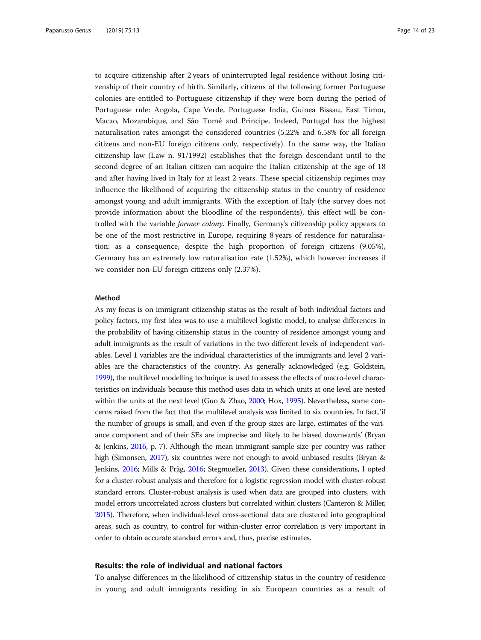to acquire citizenship after 2 years of uninterrupted legal residence without losing citizenship of their country of birth. Similarly, citizens of the following former Portuguese colonies are entitled to Portuguese citizenship if they were born during the period of Portuguese rule: Angola, Cape Verde, Portuguese India, Guinea Bissau, East Timor, Macao, Mozambique, and São Tomé and Principe. Indeed, Portugal has the highest naturalisation rates amongst the considered countries (5.22% and 6.58% for all foreign citizens and non-EU foreign citizens only, respectively). In the same way, the Italian citizenship law (Law n. 91/1992) establishes that the foreign descendant until to the second degree of an Italian citizen can acquire the Italian citizenship at the age of 18 and after having lived in Italy for at least 2 years. These special citizenship regimes may influence the likelihood of acquiring the citizenship status in the country of residence amongst young and adult immigrants. With the exception of Italy (the survey does not provide information about the bloodline of the respondents), this effect will be controlled with the variable former colony. Finally, Germany's citizenship policy appears to be one of the most restrictive in Europe, requiring 8 years of residence for naturalisation: as a consequence, despite the high proportion of foreign citizens (9.05%), Germany has an extremely low naturalisation rate (1.52%), which however increases if we consider non-EU foreign citizens only (2.37%).

# Method

As my focus is on immigrant citizenship status as the result of both individual factors and policy factors, my first idea was to use a multilevel logistic model, to analyse differences in the probability of having citizenship status in the country of residence amongst young and adult immigrants as the result of variations in the two different levels of independent variables. Level 1 variables are the individual characteristics of the immigrants and level 2 variables are the characteristics of the country. As generally acknowledged (e.g. Goldstein, [1999\)](#page-21-0), the multilevel modelling technique is used to assess the effects of macro-level characteristics on individuals because this method uses data in which units at one level are nested within the units at the next level (Guo & Zhao, [2000](#page-21-0); Hox, [1995\)](#page-21-0). Nevertheless, some concerns raised from the fact that the multilevel analysis was limited to six countries. In fact, 'if the number of groups is small, and even if the group sizes are large, estimates of the variance component and of their SEs are imprecise and likely to be biased downwards' (Bryan & Jenkins, [2016](#page-20-0), p. 7). Although the mean immigrant sample size per country was rather high (Simonsen, [2017](#page-22-0)), six countries were not enough to avoid unbiased results (Bryan & Jenkins, [2016](#page-20-0); Mills & Präg, [2016;](#page-21-0) Stegmueller, [2013](#page-22-0)). Given these considerations, I opted for a cluster-robust analysis and therefore for a logistic regression model with cluster-robust standard errors. Cluster-robust analysis is used when data are grouped into clusters, with model errors uncorrelated across clusters but correlated within clusters (Cameron & Miller, [2015\)](#page-20-0). Therefore, when individual-level cross-sectional data are clustered into geographical areas, such as country, to control for within-cluster error correlation is very important in order to obtain accurate standard errors and, thus, precise estimates.

# Results: the role of individual and national factors

To analyse differences in the likelihood of citizenship status in the country of residence in young and adult immigrants residing in six European countries as a result of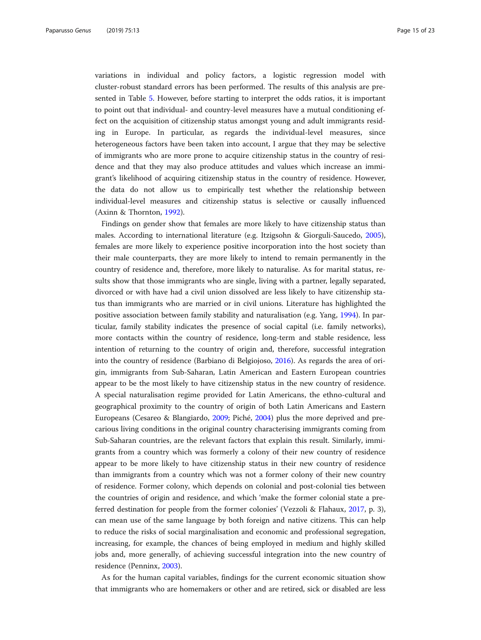variations in individual and policy factors, a logistic regression model with cluster-robust standard errors has been performed. The results of this analysis are presented in Table [5](#page-15-0). However, before starting to interpret the odds ratios, it is important to point out that individual- and country-level measures have a mutual conditioning effect on the acquisition of citizenship status amongst young and adult immigrants residing in Europe. In particular, as regards the individual-level measures, since heterogeneous factors have been taken into account, I argue that they may be selective of immigrants who are more prone to acquire citizenship status in the country of residence and that they may also produce attitudes and values which increase an immigrant's likelihood of acquiring citizenship status in the country of residence. However, the data do not allow us to empirically test whether the relationship between individual-level measures and citizenship status is selective or causally influenced (Axinn & Thornton, [1992](#page-20-0)).

Findings on gender show that females are more likely to have citizenship status than males. According to international literature (e.g. Itzigsohn & Giorguli-Saucedo, [2005](#page-21-0)), females are more likely to experience positive incorporation into the host society than their male counterparts, they are more likely to intend to remain permanently in the country of residence and, therefore, more likely to naturalise. As for marital status, results show that those immigrants who are single, living with a partner, legally separated, divorced or with have had a civil union dissolved are less likely to have citizenship status than immigrants who are married or in civil unions. Literature has highlighted the positive association between family stability and naturalisation (e.g. Yang, [1994\)](#page-22-0). In particular, family stability indicates the presence of social capital (i.e. family networks), more contacts within the country of residence, long-term and stable residence, less intention of returning to the country of origin and, therefore, successful integration into the country of residence (Barbiano di Belgiojoso, [2016](#page-20-0)). As regards the area of origin, immigrants from Sub-Saharan, Latin American and Eastern European countries appear to be the most likely to have citizenship status in the new country of residence. A special naturalisation regime provided for Latin Americans, the ethno-cultural and geographical proximity to the country of origin of both Latin Americans and Eastern Europeans (Cesareo & Blangiardo, [2009;](#page-20-0) Piché, [2004\)](#page-21-0) plus the more deprived and precarious living conditions in the original country characterising immigrants coming from Sub-Saharan countries, are the relevant factors that explain this result. Similarly, immigrants from a country which was formerly a colony of their new country of residence appear to be more likely to have citizenship status in their new country of residence than immigrants from a country which was not a former colony of their new country of residence. Former colony, which depends on colonial and post-colonial ties between the countries of origin and residence, and which 'make the former colonial state a preferred destination for people from the former colonies' (Vezzoli & Flahaux, [2017](#page-22-0), p. 3), can mean use of the same language by both foreign and native citizens. This can help to reduce the risks of social marginalisation and economic and professional segregation, increasing, for example, the chances of being employed in medium and highly skilled jobs and, more generally, of achieving successful integration into the new country of residence (Penninx, [2003](#page-21-0)).

As for the human capital variables, findings for the current economic situation show that immigrants who are homemakers or other and are retired, sick or disabled are less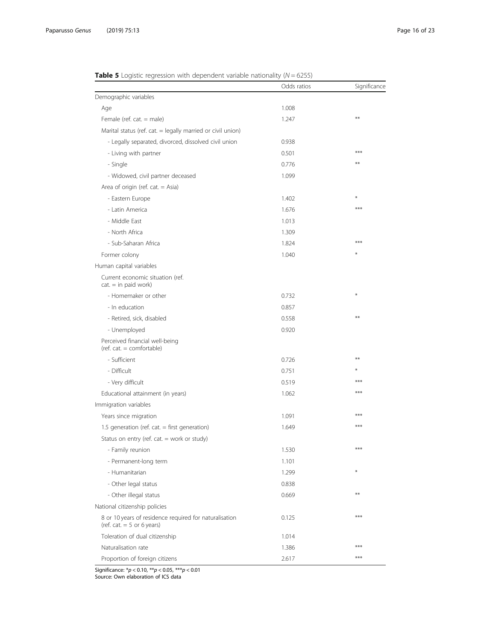|                                                                                        | Odds ratios | Significance |
|----------------------------------------------------------------------------------------|-------------|--------------|
| Demographic variables                                                                  |             |              |
| Age                                                                                    | 1.008       |              |
| Female (ref. cat. $=$ male)                                                            | 1.247       | $**$         |
| Marital status (ref. cat. = legally married or civil union)                            |             |              |
| - Legally separated, divorced, dissolved civil union                                   | 0.938       |              |
| - Living with partner                                                                  | 0.501       | $***$        |
| - Single                                                                               | 0.776       | $**$         |
| - Widowed, civil partner deceased                                                      | 1.099       |              |
| Area of origin (ref. cat. $=$ Asia)                                                    |             |              |
| - Eastern Europe                                                                       | 1.402       | ⋇            |
| - Latin America                                                                        | 1.676       | ***          |
| - Middle East                                                                          | 1.013       |              |
| - North Africa                                                                         | 1.309       |              |
| - Sub-Saharan Africa                                                                   | 1.824       | ***          |
| Former colony                                                                          | 1.040       | ⋇            |
| Human capital variables                                                                |             |              |
| Current economic situation (ref.<br>$cat = in paid work)$                              |             |              |
| - Homemaker or other                                                                   | 0.732       | ⋇            |
| - In education                                                                         | 0.857       |              |
| - Retired, sick, disabled                                                              | 0.558       | $**$         |
| - Unemployed                                                                           | 0.920       |              |
| Perceived financial well-being<br>$(ref. cat. = comfortable)$                          |             |              |
| - Sufficient                                                                           | 0.726       | $**$         |
| - Difficult                                                                            | 0.751       | ⋇            |
| - Very difficult                                                                       | 0.519       | $***$        |
| Educational attainment (in years)                                                      | 1.062       | $***$        |
| Immigration variables                                                                  |             |              |
| Years since migration                                                                  | 1.091       | $***$        |
| 1.5 generation (ref. cat. $=$ first generation)                                        | 1.649       | $***$        |
| Status on entry (ref. cat. = work or study)                                            |             |              |
| - Family reunion                                                                       | 1.530       | $***$        |
| - Permanent-long term                                                                  | 1.101       |              |
| - Humanitarian                                                                         | 1.299       | ⋇            |
| - Other legal status                                                                   | 0.838       |              |
| - Other illegal status                                                                 | 0.669       | $***$        |
| National citizenship policies                                                          |             |              |
| 8 or 10 years of residence required for naturalisation<br>(ref. cat. $= 5$ or 6 years) | 0.125       | $***$        |
| Toleration of dual citizenship                                                         | 1.014       |              |
| Naturalisation rate                                                                    | 1.386       | ***          |
| Proportion of foreign citizens                                                         | 2.617       | $***$        |

<span id="page-15-0"></span>

|  |  |  |  | <b>Table 5</b> Logistic regression with dependent variable nationality ( $N = 6255$ ) |  |  |  |
|--|--|--|--|---------------------------------------------------------------------------------------|--|--|--|
|--|--|--|--|---------------------------------------------------------------------------------------|--|--|--|

Significance:  $* p < 0.10$ ,  $** p < 0.05$ ,  $** p < 0.01$ 

Source: Own elaboration of ICS data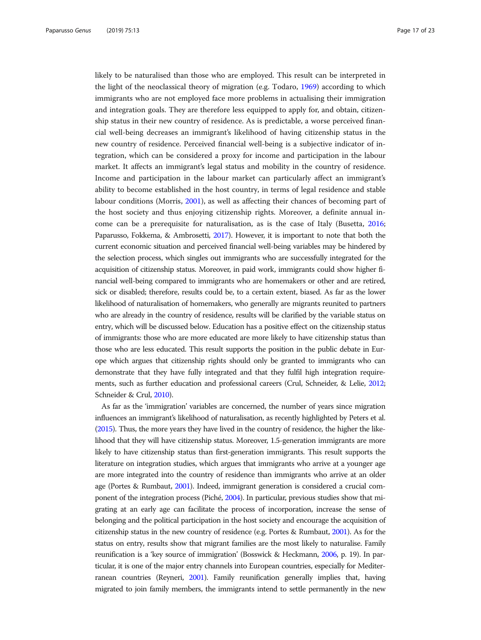likely to be naturalised than those who are employed. This result can be interpreted in the light of the neoclassical theory of migration (e.g. Todaro, [1969](#page-22-0)) according to which immigrants who are not employed face more problems in actualising their immigration and integration goals. They are therefore less equipped to apply for, and obtain, citizenship status in their new country of residence. As is predictable, a worse perceived financial well-being decreases an immigrant's likelihood of having citizenship status in the new country of residence. Perceived financial well-being is a subjective indicator of integration, which can be considered a proxy for income and participation in the labour market. It affects an immigrant's legal status and mobility in the country of residence. Income and participation in the labour market can particularly affect an immigrant's ability to become established in the host country, in terms of legal residence and stable labour conditions (Morris, [2001](#page-21-0)), as well as affecting their chances of becoming part of the host society and thus enjoying citizenship rights. Moreover, a definite annual income can be a prerequisite for naturalisation, as is the case of Italy (Busetta, [2016](#page-20-0); Paparusso, Fokkema, & Ambrosetti, [2017](#page-21-0)). However, it is important to note that both the current economic situation and perceived financial well-being variables may be hindered by the selection process, which singles out immigrants who are successfully integrated for the acquisition of citizenship status. Moreover, in paid work, immigrants could show higher financial well-being compared to immigrants who are homemakers or other and are retired, sick or disabled; therefore, results could be, to a certain extent, biased. As far as the lower likelihood of naturalisation of homemakers, who generally are migrants reunited to partners who are already in the country of residence, results will be clarified by the variable status on entry, which will be discussed below. Education has a positive effect on the citizenship status of immigrants: those who are more educated are more likely to have citizenship status than those who are less educated. This result supports the position in the public debate in Europe which argues that citizenship rights should only be granted to immigrants who can demonstrate that they have fully integrated and that they fulfil high integration requirements, such as further education and professional careers (Crul, Schneider, & Lelie, [2012](#page-20-0); Schneider & Crul, [2010\)](#page-22-0).

As far as the 'immigration' variables are concerned, the number of years since migration influences an immigrant's likelihood of naturalisation, as recently highlighted by Peters et al. ([2015](#page-21-0)). Thus, the more years they have lived in the country of residence, the higher the likelihood that they will have citizenship status. Moreover, 1.5-generation immigrants are more likely to have citizenship status than first-generation immigrants. This result supports the literature on integration studies, which argues that immigrants who arrive at a younger age are more integrated into the country of residence than immigrants who arrive at an older age (Portes & Rumbaut, [2001\)](#page-22-0). Indeed, immigrant generation is considered a crucial component of the integration process (Piché, [2004\)](#page-21-0). In particular, previous studies show that migrating at an early age can facilitate the process of incorporation, increase the sense of belonging and the political participation in the host society and encourage the acquisition of citizenship status in the new country of residence (e.g. Portes & Rumbaut, [2001](#page-22-0)). As for the status on entry, results show that migrant families are the most likely to naturalise. Family reunification is a 'key source of immigration' (Bosswick & Heckmann, [2006](#page-20-0), p. 19). In particular, it is one of the major entry channels into European countries, especially for Mediterranean countries (Reyneri, [2001\)](#page-22-0). Family reunification generally implies that, having migrated to join family members, the immigrants intend to settle permanently in the new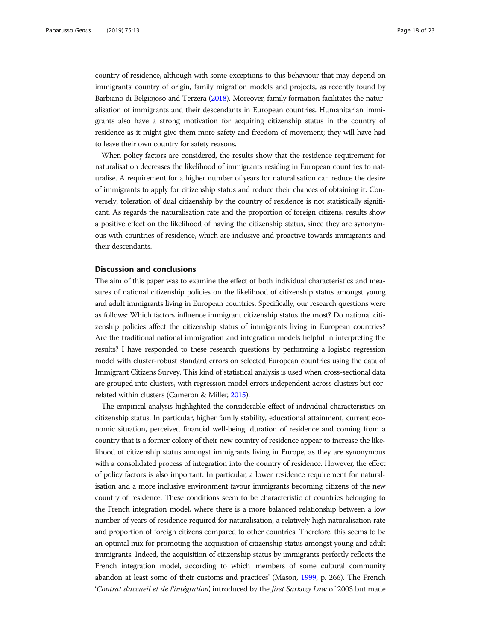<span id="page-17-0"></span>country of residence, although with some exceptions to this behaviour that may depend on immigrants' country of origin, family migration models and projects, as recently found by Barbiano di Belgiojoso and Terzera ([2018](#page-20-0)). Moreover, family formation facilitates the naturalisation of immigrants and their descendants in European countries. Humanitarian immigrants also have a strong motivation for acquiring citizenship status in the country of residence as it might give them more safety and freedom of movement; they will have had to leave their own country for safety reasons.

When policy factors are considered, the results show that the residence requirement for naturalisation decreases the likelihood of immigrants residing in European countries to naturalise. A requirement for a higher number of years for naturalisation can reduce the desire of immigrants to apply for citizenship status and reduce their chances of obtaining it. Conversely, toleration of dual citizenship by the country of residence is not statistically significant. As regards the naturalisation rate and the proportion of foreign citizens, results show a positive effect on the likelihood of having the citizenship status, since they are synonymous with countries of residence, which are inclusive and proactive towards immigrants and their descendants.

# Discussion and conclusions

The aim of this paper was to examine the effect of both individual characteristics and measures of national citizenship policies on the likelihood of citizenship status amongst young and adult immigrants living in European countries. Specifically, our research questions were as follows: Which factors influence immigrant citizenship status the most? Do national citizenship policies affect the citizenship status of immigrants living in European countries? Are the traditional national immigration and integration models helpful in interpreting the results? I have responded to these research questions by performing a logistic regression model with cluster-robust standard errors on selected European countries using the data of Immigrant Citizens Survey. This kind of statistical analysis is used when cross-sectional data are grouped into clusters, with regression model errors independent across clusters but correlated within clusters (Cameron & Miller, [2015\)](#page-20-0).

The empirical analysis highlighted the considerable effect of individual characteristics on citizenship status. In particular, higher family stability, educational attainment, current economic situation, perceived financial well-being, duration of residence and coming from a country that is a former colony of their new country of residence appear to increase the likelihood of citizenship status amongst immigrants living in Europe, as they are synonymous with a consolidated process of integration into the country of residence. However, the effect of policy factors is also important. In particular, a lower residence requirement for naturalisation and a more inclusive environment favour immigrants becoming citizens of the new country of residence. These conditions seem to be characteristic of countries belonging to the French integration model, where there is a more balanced relationship between a low number of years of residence required for naturalisation, a relatively high naturalisation rate and proportion of foreign citizens compared to other countries. Therefore, this seems to be an optimal mix for promoting the acquisition of citizenship status amongst young and adult immigrants. Indeed, the acquisition of citizenship status by immigrants perfectly reflects the French integration model, according to which 'members of some cultural community abandon at least some of their customs and practices' (Mason, [1999,](#page-21-0) p. 266). The French 'Contrat d'accueil et de l'intégration', introduced by the first Sarkozy Law of 2003 but made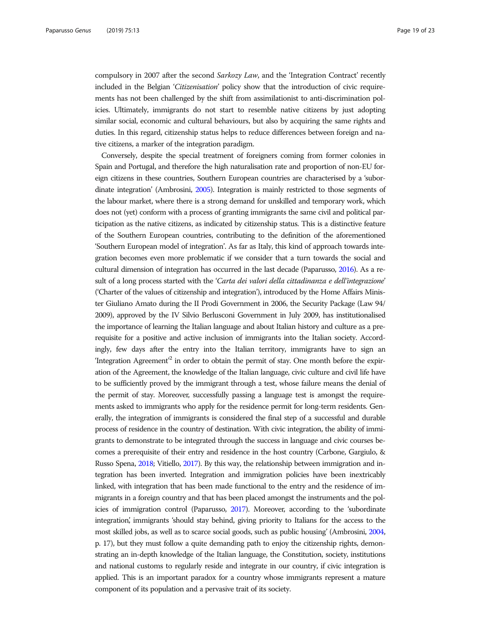compulsory in 2007 after the second *Sarkozy Law*, and the 'Integration Contract' recently included in the Belgian 'Citizenisation' policy show that the introduction of civic requirements has not been challenged by the shift from assimilationist to anti-discrimination policies. Ultimately, immigrants do not start to resemble native citizens by just adopting similar social, economic and cultural behaviours, but also by acquiring the same rights and duties. In this regard, citizenship status helps to reduce differences between foreign and native citizens, a marker of the integration paradigm.

Conversely, despite the special treatment of foreigners coming from former colonies in Spain and Portugal, and therefore the high naturalisation rate and proportion of non-EU foreign citizens in these countries, Southern European countries are characterised by a 'subordinate integration' (Ambrosini, [2005\)](#page-20-0). Integration is mainly restricted to those segments of the labour market, where there is a strong demand for unskilled and temporary work, which does not (yet) conform with a process of granting immigrants the same civil and political participation as the native citizens, as indicated by citizenship status. This is a distinctive feature of the Southern European countries, contributing to the definition of the aforementioned 'Southern European model of integration'. As far as Italy, this kind of approach towards integration becomes even more problematic if we consider that a turn towards the social and cultural dimension of integration has occurred in the last decade (Paparusso, [2016](#page-21-0)). As a result of a long process started with the 'Carta dei valori della cittadinanza e dell'integrazione' ('Charter of the values of citizenship and integration'), introduced by the Home Affairs Minister Giuliano Amato during the II Prodi Government in 2006, the Security Package (Law 94/ 2009), approved by the IV Silvio Berlusconi Government in July 2009, has institutionalised the importance of learning the Italian language and about Italian history and culture as a prerequisite for a positive and active inclusion of immigrants into the Italian society. Accordingly, few days after the entry into the Italian territory, immigrants have to sign an 'Integration Agreement<sup>22</sup> in order to obtain the permit of stay. One month before the expiration of the Agreement, the knowledge of the Italian language, civic culture and civil life have to be sufficiently proved by the immigrant through a test, whose failure means the denial of the permit of stay. Moreover, successfully passing a language test is amongst the requirements asked to immigrants who apply for the residence permit for long-term residents. Generally, the integration of immigrants is considered the final step of a successful and durable process of residence in the country of destination. With civic integration, the ability of immigrants to demonstrate to be integrated through the success in language and civic courses becomes a prerequisite of their entry and residence in the host country (Carbone, Gargiulo, & Russo Spena, [2018;](#page-20-0) Vitiello, [2017](#page-22-0)). By this way, the relationship between immigration and integration has been inverted. Integration and immigration policies have been inextricably linked, with integration that has been made functional to the entry and the residence of immigrants in a foreign country and that has been placed amongst the instruments and the policies of immigration control (Paparusso, [2017](#page-21-0)). Moreover, according to the 'subordinate integration, immigrants 'should stay behind, giving priority to Italians for the access to the most skilled jobs, as well as to scarce social goods, such as public housing' (Ambrosini, [2004](#page-20-0), p. 17), but they must follow a quite demanding path to enjoy the citizenship rights, demonstrating an in-depth knowledge of the Italian language, the Constitution, society, institutions and national customs to regularly reside and integrate in our country, if civic integration is applied. This is an important paradox for a country whose immigrants represent a mature component of its population and a pervasive trait of its society.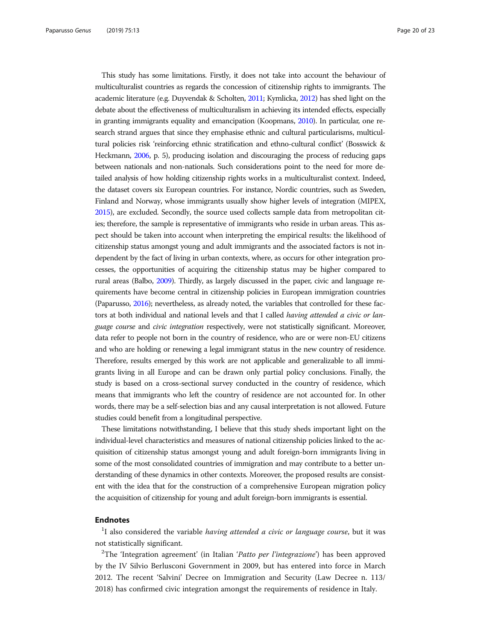This study has some limitations. Firstly, it does not take into account the behaviour of multiculturalist countries as regards the concession of citizenship rights to immigrants. The academic literature (e.g. Duyvendak & Scholten, [2011;](#page-21-0) Kymlicka, [2012](#page-21-0)) has shed light on the debate about the effectiveness of multiculturalism in achieving its intended effects, especially in granting immigrants equality and emancipation (Koopmans, [2010\)](#page-21-0). In particular, one research strand argues that since they emphasise ethnic and cultural particularisms, multicultural policies risk 'reinforcing ethnic stratification and ethno-cultural conflict' (Bosswick & Heckmann, [2006,](#page-20-0) p. 5), producing isolation and discouraging the process of reducing gaps between nationals and non-nationals. Such considerations point to the need for more detailed analysis of how holding citizenship rights works in a multiculturalist context. Indeed, the dataset covers six European countries. For instance, Nordic countries, such as Sweden, Finland and Norway, whose immigrants usually show higher levels of integration (MIPEX, [2015\)](#page-21-0), are excluded. Secondly, the source used collects sample data from metropolitan cities; therefore, the sample is representative of immigrants who reside in urban areas. This aspect should be taken into account when interpreting the empirical results: the likelihood of citizenship status amongst young and adult immigrants and the associated factors is not independent by the fact of living in urban contexts, where, as occurs for other integration processes, the opportunities of acquiring the citizenship status may be higher compared to rural areas (Balbo, [2009\)](#page-20-0). Thirdly, as largely discussed in the paper, civic and language requirements have become central in citizenship policies in European immigration countries (Paparusso, [2016\)](#page-21-0); nevertheless, as already noted, the variables that controlled for these factors at both individual and national levels and that I called *having attended a civic or lan*guage course and civic integration respectively, were not statistically significant. Moreover, data refer to people not born in the country of residence, who are or were non-EU citizens and who are holding or renewing a legal immigrant status in the new country of residence. Therefore, results emerged by this work are not applicable and generalizable to all immigrants living in all Europe and can be drawn only partial policy conclusions. Finally, the study is based on a cross-sectional survey conducted in the country of residence, which means that immigrants who left the country of residence are not accounted for. In other words, there may be a self-selection bias and any causal interpretation is not allowed. Future studies could benefit from a longitudinal perspective.

These limitations notwithstanding, I believe that this study sheds important light on the individual-level characteristics and measures of national citizenship policies linked to the acquisition of citizenship status amongst young and adult foreign-born immigrants living in some of the most consolidated countries of immigration and may contribute to a better understanding of these dynamics in other contexts. Moreover, the proposed results are consistent with the idea that for the construction of a comprehensive European migration policy the acquisition of citizenship for young and adult foreign-born immigrants is essential.

# Endnotes

 $1$ I also considered the variable having attended a civic or language course, but it was not statistically significant.

<sup>2</sup>The 'Integration agreement' (in Italian 'Patto per l'integrazione') has been approved by the IV Silvio Berlusconi Government in 2009, but has entered into force in March 2012. The recent 'Salvini' Decree on Immigration and Security (Law Decree n. 113/ 2018) has confirmed civic integration amongst the requirements of residence in Italy.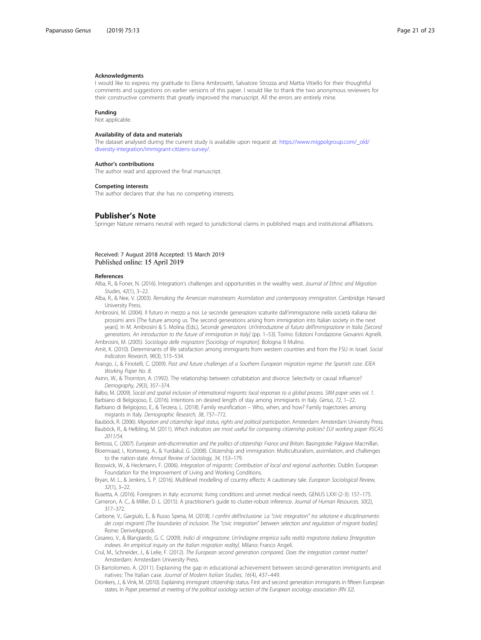#### <span id="page-20-0"></span>Acknowledgments

I would like to express my gratitude to Elena Ambrosetti, Salvatore Strozza and Mattia Vitiello for their thoughtful comments and suggestions on earlier versions of this paper. I would like to thank the two anonymous reviewers for their constructive comments that greatly improved the manuscript. All the errors are entirely mine.

#### Funding

Not applicable.

#### Availability of data and materials

The dataset analysed during the current study is available upon request at: [https://www.migpolgroup.com/\\_old/](https://www.migpolgroup.com/_old/diversity-integration/immigrant-citizens-survey/) [diversity-integration/immigrant-citizens-survey/](https://www.migpolgroup.com/_old/diversity-integration/immigrant-citizens-survey/).

#### Author's contributions

The author read and approved the final manuscript.

### Competing interests

The author declares that she has no competing interests.

# Publisher's Note

Springer Nature remains neutral with regard to jurisdictional claims in published maps and institutional affiliations.

# Received: 7 August 2018 Accepted: 15 March 2019 Published online: 15 April 2019

#### References

Alba, R., & Foner, N. (2016). Integration's challenges and opportunities in the wealthy west. Journal of Ethnic and Migration Studies, 42(1), 3–22.

Alba, R., & Nee, V. (2003). Remaking the American mainstream: Assimilation and contemporary immigration. Cambridge: Harvard University Press.

Ambrosini, M. (2004). Il futuro in mezzo a noi. Le seconde generazioni scaturite dall'immigrazione nella società italiana dei prossimi anni [The future among us. The second generations arising from immigration into Italian society in the next years]. In M. Ambrosini & S. Molina (Eds.), Seconde generazioni. Un'introduzione al futuro dell'immigrazione in Italia [Second generations. An introduction to the future of immigration in Italy] (pp. 1–53). Torino: Edizioni Fondazione Giovanni Agnelli. Ambrosini, M. (2005). Sociologia delle migrazioni [Sociology of migration]. Bologna: Il Mulino.

Amit, K. (2010). Determinants of life satisfaction among immigrants from western countries and from the FSU in Israel. Social Indicators Research, 96(3), 515–534.

Arango, J., & Finotelli, C. (2009). Past and future challenges of a Southern European migration regime: the Spanish case. IDEA Working Paper No. 8.

Axinn, W., & Thornton, A. (1992). The relationship between cohabitation and divorce: Selectivity or causal influence? Demography, 29(3), 357–374.

Balbo, M. (2009). Social and spatial inclusion of international migrants: local responses to a global process. SIIM paper series vol. 1. Barbiano di Belgiojoso, E. (2016). Intentions on desired length of stay among immigrants in Italy. Genus, 72, 1–22.

Barbiano di Belgiojoso, E., & Terzera, L. (2018). Family reunification – Who, when, and how? Family trajectories among migrants in Italy. Demographic Research, 38, 737–772.

Bauböck, R. (2006). Migration and citizenship: legal status, rights and political participation. Amsterdam: Amsterdam University Press. Bauböck, R., & Helbling, M. (2011). Which indicators are most useful for comparing citizenship policies? EUI working paper RSCAS 2011/54.

Bertossi, C. (2007). European anti-discrimination and the politics of citizenship: France and Britain. Basingstoke: Palgrave Macmillan. Bloemraad, I., Korteweg, A., & Yurdakul, G. (2008). Citizenship and immigration: Multiculturalism, assimilation, and challenges to the nation-state. Annual Review of Sociology, 34, 153–179.

Bosswick, W., & Heckmann, F. (2006). Integration of migrants: Contribution of local and regional authorities. Dublin: European Foundation for the Improvement of Living and Working Conditions.

Bryan, M. L., & Jenkins, S. P. (2016). Multilevel modelling of country effects: A cautionary tale. European Sociological Review, 32(1), 3–22.

Busetta, A. (2016). Foreigners in Italy: economic living conditions and unmet medical needs. GENUS LXXI (2-3): 157–175.

Cameron, A. C., & Miller, D. L. (2015). A practitioner's guide to cluster-robust inference. Journal of Human Resources, 50(2), 317–372.

Carbone, V., Gargiulo, E., & Russo Spena, M. (2018). I confini dell'inclusione. La "civic integration" tra selezione e disciplinamento dei corpi migranti [The boundaries of inclusion. The "civic integration" between selection and regulation of migrant bodies]. Rome: DeriveApprodi.

Cesareo, V., & Blangiardo, G. C. (2009). Indici di integrazione. Un'indagine empirica sulla realtà migratoria italiana [Integration indexes. An empirical inquiry on the Italian migration reality]. Milano: Franco Angeli

Crul, M., Schneider, J., & Lelie, F. (2012). The European second generation compared. Does the integration context matter? Amsterdam: Amsterdam University Press.

Di Bartolomeo, A. (2011). Explaining the gap in educational achievement between second-generation immigrants and natives: The Italian case. Journal of Modern Italian Studies, 16(4), 437–449.

Dronkers, J., & Vink, M. (2010). Explaining immigrant citizenship status. First and second generation immigrants in fifteen European states. In Paper presented at meeting of the political sociology section of the European sociology association (RN 32).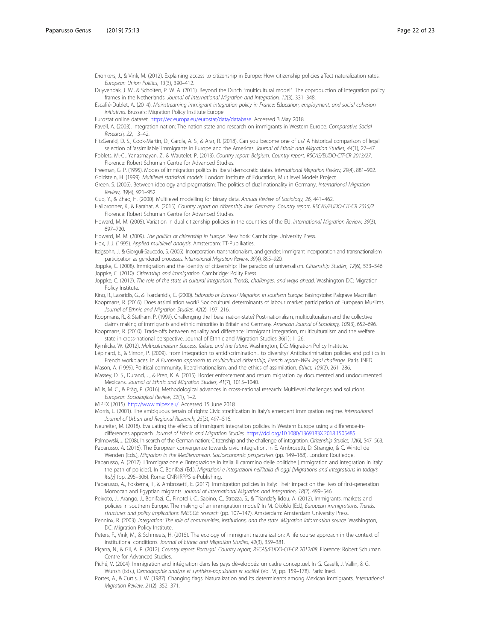<span id="page-21-0"></span>Dronkers, J., & Vink, M. (2012). Explaining access to citizenship in Europe: How citizenship policies affect naturalization rates. European Union Politics, 13(3), 390–412.

Duyvendak, J. W., & Scholten, P. W. A. (2011). Beyond the Dutch "multicultural model". The coproduction of integration policy frames in the Netherlands. Journal of International Migration and Integration, 12(3), 331-348.

Escafré-Dublet, A. (2014). Mainstreaming immigrant integration policy in France: Education, employment, and social cohesion initiatives. Brussels: Migration Policy Institute Europe.

Eurostat online dataset. <https://ec.europa.eu/eurostat/data/database>. Accessed 3 May 2018.

Favell, A. (2003). Integration nation: The nation state and research on immigrants in Western Europe. Comparative Social Research, 22, 13–42.

FitzGerald, D. S., Cook-Martín, D., García, A. S., & Arar, R. (2018). Can you become one of us? A historical comparison of legal selection of 'assimilable' immigrants in Europe and the Americas. Journal of Ethnic and Migration Studies, 44(1), 27-47.

Foblets, M.-C., Yanasmayan, Z., & Wautelet, P. (2013). Country report: Belgium. Country report, RSCAS/EUDO-CIT-CR 2013/27. Florence: Robert Schuman Centre for Advanced Studies.

Freeman, G. P. (1995). Modes of immigration politics in liberal democratic states. International Migration Review, 29(4), 881–902. Goldstein, H. (1999). Multilevel statistical models. London: Institute of Education, Multilevel Models Project.

Green, S. (2005). Between ideology and pragmatism: The politics of dual nationality in Germany. International Migration Review, 39(4), 921–952.

Guo, Y., & Zhao, H. (2000). Multilevel modelling for binary data. Annual Review of Sociology, 26, 441–462.

Hailbronner, K., & Farahat, A. (2015). Country report on citizenship law: Germany. Country report, RSCAS/EUDO-CIT-CR 2015/2. Florence: Robert Schuman Centre for Advanced Studies.

Howard, M. M. (2005). Variation in dual citizenship policies in the countries of the EU. International Migration Review, 39(3), 697–720.

Howard, M. M. (2009). The politics of citizenship in Europe. New York: Cambridge University Press.

Hox, J. J. (1995). Applied multilevel analysis. Amsterdam: TT-Publikaties.

Itzigsohn, J., & Giorguli-Saucedo, S. (2005). Incorporation, transnationalism, and gender: Immigrant incorporation and transnationalism participation as gendered processes. International Migration Review, 39(4), 895–920.

Joppke, C. (2008). Immigration and the identity of citizenship: The paradox of universalism. Citizenship Studies, 12(6), 533–546. Joppke, C. (2010). Citizenship and immigration. Cambridge: Polity Press.

Joppke, C. (2012). The role of the state in cultural integration: Trends, challenges, and ways ahead. Washington DC: Migration Policy Institute.

King, R., Lazaridis, G., & Tsardanidis, C. (2000). Eldorado or fortress? Migration in southern Europe. Basingstoke: Palgrave Macmillan.

Koopmans, R. (2016). Does assimilation work? Sociocultural determinants of labour market participation of European Muslims. Journal of Ethnic and Migration Studies, 42(2), 197–216.

Koopmans, R., & Statham, P. (1999). Challenging the liberal nation-state? Post-nationalism, multiculturalism and the collective

claims making of immigrants and ethnic minorities in Britain and Germany. American Journal of Sociology, 105(3), 652–696. Koopmans, R. (2010). Trade-offs between equality and difference: immigrant integration, multiculturalism and the welfare state in cross-national perspective. Journal of Ethnic and Migration Studies 36(1): 1–26.

Kymlicka, W. (2012). Multiculturalism: Success, failure, and the future. Washington, DC: Migration Policy Institute.

Lépinard, E., & Simon, P. (2009). From integration to antidiscrimination... to diversity? Antidiscrimination policies and politics in French workplaces. In A European approach to multicultural citizenship, French report–WP4 legal challenge. Paris: INED.

Mason, A. (1999). Political community, liberal-nationalism, and the ethics of assimilation. Ethics, 109(2), 261–286. Massey, D. S., Durand, J., & Pren, K. A. (2015). Border enforcement and return migration by documented and undocumented Mexicans. Journal of Ethnic and Migration Studies, 41(7), 1015–1040.

Mills, M. C., & Präg, P. (2016). Methodological advances in cross-national research: Multilevel challenges and solutions. European Sociological Review, 32(1), 1–2.

MIPEX (2015). <http://www.mipex.eu/>. Accessed 15 June 2018.

Morris, L. (2001). The ambiguous terrain of rights: Civic stratification in Italy's emergent immigration regime. International Journal of Urban and Regional Research, 25(3), 497–516.

Neureiter, M. (2018). Evaluating the effects of immigrant integration policies in Western Europe using a difference-indifferences approach. Journal of Ethnic and Migration Studies. <https://doi.org/10.1080/1369183X.2018.1505485>.

Palmowski, J. (2008). In search of the German nation: Citizenship and the challenge of integration. Citizenship Studies, 12(6), 547–563. Paparusso, A. (2016). The European convergence towards civic integration. In E. Ambrosetti, D. Strangio, & C. Wihtol de

Wenden (Eds.), Migration in the Mediterranean. Socioeconomic perspectives (pp. 149–168). London: Routledge. Paparusso, A. (2017). L'immigrazione e l'integrazione in Italia: il cammino delle politiche [Immigration and integration in Italy:

the path of policies]. In C. Bonifazi (Ed.), Migrazioni e integrazioni nell'Italia di oggi [Migrations and integrations in today's Italy] (pp. 295-306). Rome: CNR-IRPPS e-Publishing.

Paparusso, A., Fokkema, T., & Ambrosetti, E. (2017). Immigration policies in Italy: Their impact on the lives of first-generation Moroccan and Egyptian migrants. Journal of International Migration and Integration, 18(2), 499–546.

Peixoto, J., Arango, J., Bonifazi, C., Finotelli, C., Sabino, C., Strozza, S., & Triandafyllidou, A. (2012). Immigrants, markets and policies in southern Europe. The making of an immigration model? In M. Okólski (Ed.), European immigrations. Trends, structures and policy implications IMISCOE research (pp. 107–147). Amsterdam: Amsterdam University Press.

Penninx, R. (2003). Integration: The role of communities, institutions, and the state. Migration information source. Washington, DC: Migration Policy Institute.

Peters, F., Vink, M., & Schmeets, H. (2015). The ecology of immigrant naturalization: A life course approach in the context of institutional conditions. Journal of Ethnic and Migration Studies, 42(3), 359–381.

Piçarra, N., & Gil, A. R. (2012). Country report: Portugal. Country report, RSCAS/EUDO-CIT-CR 2012/08. Florence: Robert Schuman Centre for Advanced Studies.

Piché, V. (2004). Immigration and intégration dans les pays développés: un cadre conceptuel. In G. Caselli, J. Vallin, & G. Wunsh (Eds.), Demographie analyse et synthèse-population et société (Vol. VI, pp. 159–178). Paris: Ined.

Portes, A., & Curtis, J. W. (1987). Changing flags: Naturalization and its determinants among Mexican immigrants. International Migration Review, 21(2), 352–371.